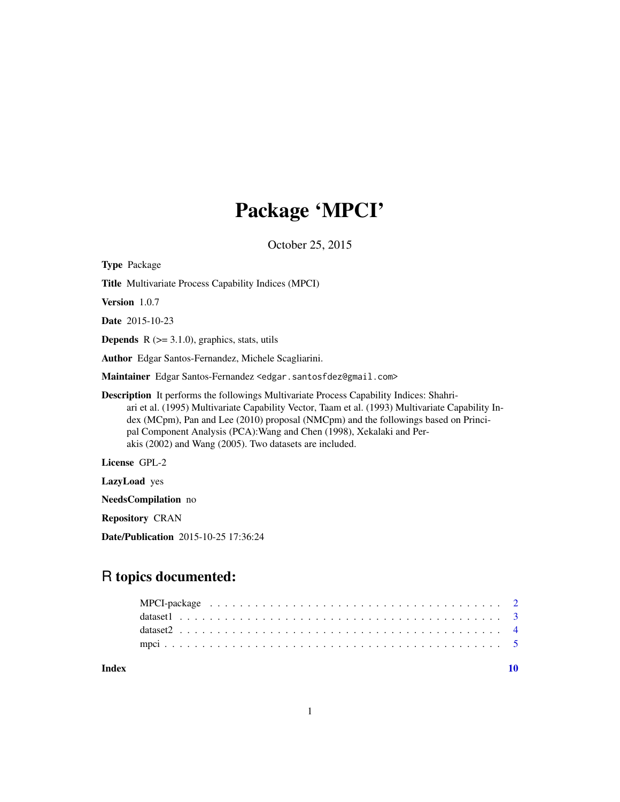# Package 'MPCI'

October 25, 2015

| <b>Type Package</b>                                                                                                                                                                                                                                                                                                                                                                                                                |  |
|------------------------------------------------------------------------------------------------------------------------------------------------------------------------------------------------------------------------------------------------------------------------------------------------------------------------------------------------------------------------------------------------------------------------------------|--|
| <b>Title Multivariate Process Capability Indices (MPCI)</b>                                                                                                                                                                                                                                                                                                                                                                        |  |
| <b>Version</b> $1.0.7$                                                                                                                                                                                                                                                                                                                                                                                                             |  |
| <b>Date</b> 2015-10-23                                                                                                                                                                                                                                                                                                                                                                                                             |  |
| <b>Depends</b> $R$ ( $> = 3.1.0$ ), graphics, stats, utils                                                                                                                                                                                                                                                                                                                                                                         |  |
| <b>Author</b> Edgar Santos-Fernandez, Michele Scagliarini.                                                                                                                                                                                                                                                                                                                                                                         |  |
| Maintainer Edgar Santos-Fernandez <edgar.santosfdez@gmail.com></edgar.santosfdez@gmail.com>                                                                                                                                                                                                                                                                                                                                        |  |
| <b>Description</b> It performs the followings Multivariate Process Capability Indices: Shahri-<br>ari et al. (1995) Multivariate Capability Vector, Taam et al. (1993) Multivariate Capability In-<br>dex (MCpm), Pan and Lee (2010) proposal (NMCpm) and the followings based on Princi-<br>pal Component Analysis (PCA): Wang and Chen (1998), Xekalaki and Per-<br>akis $(2002)$ and Wang $(2005)$ . Two datasets are included. |  |
| License GPL-2                                                                                                                                                                                                                                                                                                                                                                                                                      |  |
| <b>LazyLoad</b> yes                                                                                                                                                                                                                                                                                                                                                                                                                |  |
| <b>NeedsCompilation</b> no                                                                                                                                                                                                                                                                                                                                                                                                         |  |

Repository CRAN

Date/Publication 2015-10-25 17:36:24

# R topics documented:

 $\blacksquare$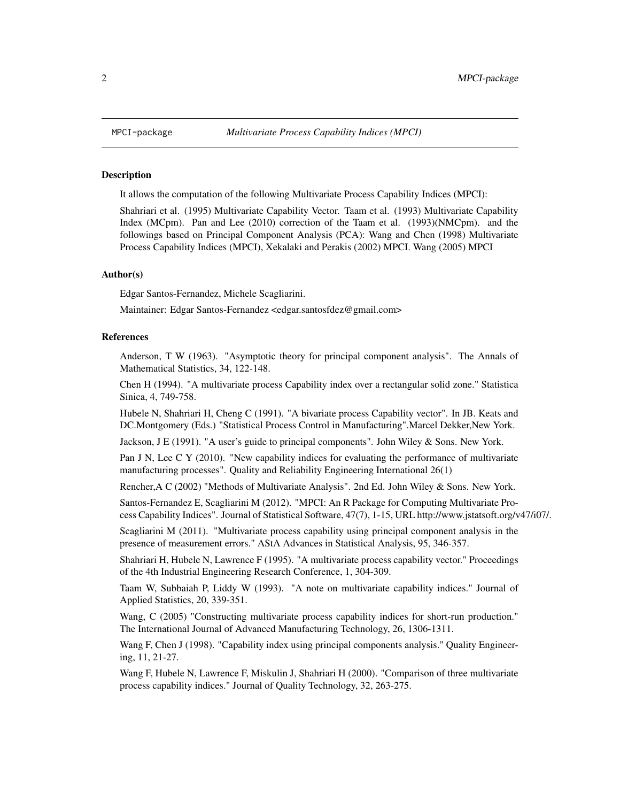#### Description

It allows the computation of the following Multivariate Process Capability Indices (MPCI):

Shahriari et al. (1995) Multivariate Capability Vector. Taam et al. (1993) Multivariate Capability Index (MCpm). Pan and Lee (2010) correction of the Taam et al. (1993)(NMCpm). and the followings based on Principal Component Analysis (PCA): Wang and Chen (1998) Multivariate Process Capability Indices (MPCI), Xekalaki and Perakis (2002) MPCI. Wang (2005) MPCI

#### Author(s)

Edgar Santos-Fernandez, Michele Scagliarini.

Maintainer: Edgar Santos-Fernandez <edgar.santosfdez@gmail.com>

#### References

Anderson, T W (1963). "Asymptotic theory for principal component analysis". The Annals of Mathematical Statistics, 34, 122-148.

Chen H (1994). "A multivariate process Capability index over a rectangular solid zone." Statistica Sinica, 4, 749-758.

Hubele N, Shahriari H, Cheng C (1991). "A bivariate process Capability vector". In JB. Keats and DC.Montgomery (Eds.) "Statistical Process Control in Manufacturing".Marcel Dekker,New York.

Jackson, J E (1991). "A user's guide to principal components". John Wiley & Sons. New York.

Pan J N, Lee C Y (2010). "New capability indices for evaluating the performance of multivariate manufacturing processes". Quality and Reliability Engineering International 26(1)

Rencher,A C (2002) "Methods of Multivariate Analysis". 2nd Ed. John Wiley & Sons. New York.

Santos-Fernandez E, Scagliarini M (2012). "MPCI: An R Package for Computing Multivariate Process Capability Indices". Journal of Statistical Software, 47(7), 1-15, URL http://www.jstatsoft.org/v47/i07/.

Scagliarini M (2011). "Multivariate process capability using principal component analysis in the presence of measurement errors." AStA Advances in Statistical Analysis, 95, 346-357.

Shahriari H, Hubele N, Lawrence F (1995). "A multivariate process capability vector." Proceedings of the 4th Industrial Engineering Research Conference, 1, 304-309.

Taam W, Subbaiah P, Liddy W (1993). "A note on multivariate capability indices." Journal of Applied Statistics, 20, 339-351.

Wang, C (2005) "Constructing multivariate process capability indices for short-run production." The International Journal of Advanced Manufacturing Technology, 26, 1306-1311.

Wang F, Chen J (1998). "Capability index using principal components analysis." Quality Engineering, 11, 21-27.

Wang F, Hubele N, Lawrence F, Miskulin J, Shahriari H (2000). "Comparison of three multivariate process capability indices." Journal of Quality Technology, 32, 263-275.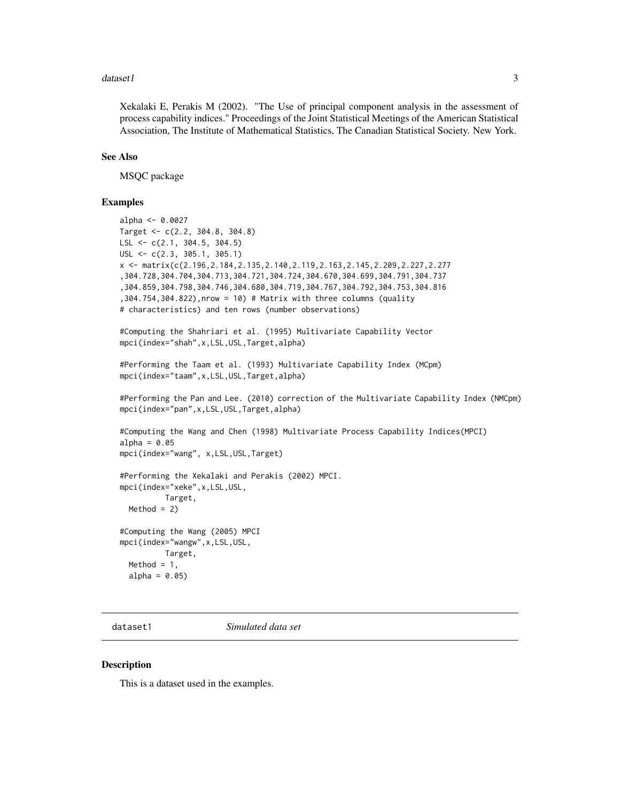#### <span id="page-2-0"></span>dataset1 3

Xekalaki E, Perakis M (2002). "The Use of principal component analysis in the assessment of process capability indices." Proceedings of the Joint Statistical Meetings of the American Statistical Association, The Institute of Mathematical Statistics, The Canadian Statistical Society. New York.

# See Also

MSQC package

#### Examples

```
alpha <- 0.0027
Target <- c(2.2, 304.8, 304.8)
LSL <- c(2.1, 304.5, 304.5)
USL <- c(2.3, 305.1, 305.1)
x <- matrix(c(2.196,2.184,2.135,2.140,2.119,2.163,2.145,2.209,2.227,2.277
,304.728,304.704,304.713,304.721,304.724,304.670,304.699,304.791,304.737
,304.859,304.798,304.746,304.680,304.719,304.767,304.792,304.753,304.816
,304.754,304.822),nrow = 10) # Matrix with three columns (quality
# characteristics) and ten rows (number observations)
#Computing the Shahriari et al. (1995) Multivariate Capability Vector
mpci(index="shah",x,LSL,USL,Target,alpha)
#Performing the Taam et al. (1993) Multivariate Capability Index (MCpm)
mpci(index="taam",x,LSL,USL,Target,alpha)
#Performing the Pan and Lee. (2010) correction of the Multivariate Capability Index (NMCpm)
mpci(index="pan",x,LSL,USL,Target,alpha)
#Computing the Wang and Chen (1998) Multivariate Process Capability Indices(MPCI)
alpha = 0.05mpci(index="wang", x,LSL,USL,Target)
#Performing the Xekalaki and Perakis (2002) MPCI.
mpci(index="xeke",x,LSL,USL,
          Target,
  Method = 2)#Computing the Wang (2005) MPCI
mpci(index="wangw",x,LSL,USL,
          Target,
  Method = 1,
  alpha = 0.05
```
dataset1 *Simulated data set*

#### Description

This is a dataset used in the examples.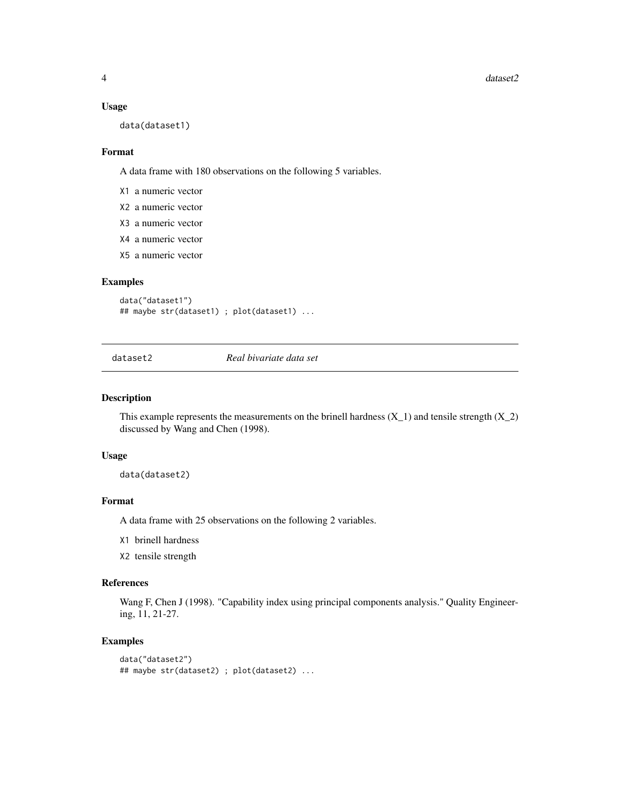#### Usage

data(dataset1)

#### Format

A data frame with 180 observations on the following 5 variables.

- X1 a numeric vector
- X2 a numeric vector
- X3 a numeric vector
- X4 a numeric vector
- X5 a numeric vector

#### Examples

```
data("dataset1")
## maybe str(dataset1) ; plot(dataset1) ...
```
dataset2 *Real bivariate data set*

#### Description

This example represents the measurements on the brinell hardness  $(X_1)$  and tensile strength  $(X_2)$ discussed by Wang and Chen (1998).

#### Usage

data(dataset2)

# Format

A data frame with 25 observations on the following 2 variables.

X1 brinell hardness

X2 tensile strength

#### References

Wang F, Chen J (1998). "Capability index using principal components analysis." Quality Engineering, 11, 21-27.

# Examples

```
data("dataset2")
## maybe str(dataset2) ; plot(dataset2) ...
```
<span id="page-3-0"></span>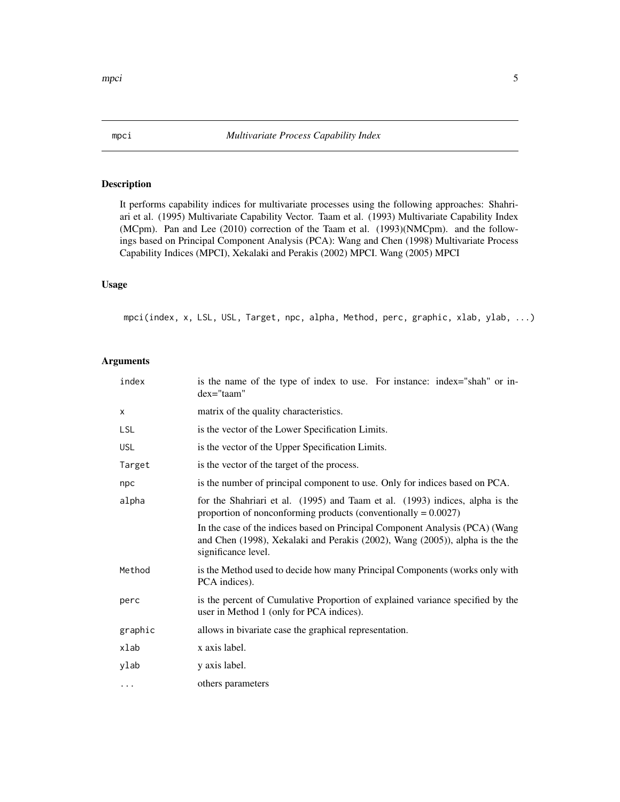### Description

It performs capability indices for multivariate processes using the following approaches: Shahriari et al. (1995) Multivariate Capability Vector. Taam et al. (1993) Multivariate Capability Index (MCpm). Pan and Lee (2010) correction of the Taam et al. (1993)(NMCpm). and the followings based on Principal Component Analysis (PCA): Wang and Chen (1998) Multivariate Process Capability Indices (MPCI), Xekalaki and Perakis (2002) MPCI. Wang (2005) MPCI

# Usage

mpci(index, x, LSL, USL, Target, npc, alpha, Method, perc, graphic, xlab, ylab, ...)

## Arguments

| index      | is the name of the type of index to use. For instance: index="shah" or in-<br>$dex="tan"$                                                                                           |
|------------|-------------------------------------------------------------------------------------------------------------------------------------------------------------------------------------|
| X          | matrix of the quality characteristics.                                                                                                                                              |
| LSL        | is the vector of the Lower Specification Limits.                                                                                                                                    |
| <b>USL</b> | is the vector of the Upper Specification Limits.                                                                                                                                    |
| Target     | is the vector of the target of the process.                                                                                                                                         |
| npc        | is the number of principal component to use. Only for indices based on PCA.                                                                                                         |
| alpha      | for the Shahriari et al. (1995) and Taam et al. (1993) indices, alpha is the<br>proportion of nonconforming products (conventionally $= 0.0027$ )                                   |
|            | In the case of the indices based on Principal Component Analysis (PCA) (Wang<br>and Chen (1998), Xekalaki and Perakis (2002), Wang (2005)), alpha is the the<br>significance level. |
| Method     | is the Method used to decide how many Principal Components (works only with<br>PCA indices).                                                                                        |
| perc       | is the percent of Cumulative Proportion of explained variance specified by the<br>user in Method 1 (only for PCA indices).                                                          |
| graphic    | allows in bivariate case the graphical representation.                                                                                                                              |
| xlab       | x axis label.                                                                                                                                                                       |
| ylab       | y axis label.                                                                                                                                                                       |
| .          | others parameters                                                                                                                                                                   |

<span id="page-4-0"></span>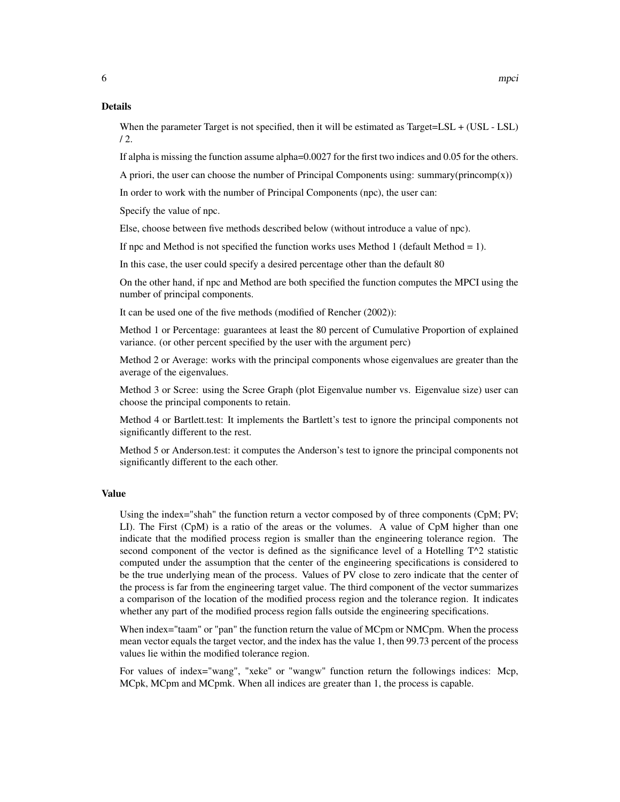When the parameter Target is not specified, then it will be estimated as Target=LSL + (USL - LSL)  $/ 2.$ 

If alpha is missing the function assume alpha=0.0027 for the first two indices and 0.05 for the others.

A priori, the user can choose the number of Principal Components using: summary(princomp $(x)$ )

In order to work with the number of Principal Components (npc), the user can:

Specify the value of npc.

Else, choose between five methods described below (without introduce a value of npc).

If npc and Method is not specified the function works uses Method 1 (default Method  $= 1$ ).

In this case, the user could specify a desired percentage other than the default 80

On the other hand, if npc and Method are both specified the function computes the MPCI using the number of principal components.

It can be used one of the five methods (modified of Rencher (2002)):

Method 1 or Percentage: guarantees at least the 80 percent of Cumulative Proportion of explained variance. (or other percent specified by the user with the argument perc)

Method 2 or Average: works with the principal components whose eigenvalues are greater than the average of the eigenvalues.

Method 3 or Scree: using the Scree Graph (plot Eigenvalue number vs. Eigenvalue size) user can choose the principal components to retain.

Method 4 or Bartlett.test: It implements the Bartlett's test to ignore the principal components not significantly different to the rest.

Method 5 or Anderson.test: it computes the Anderson's test to ignore the principal components not significantly different to the each other.

#### Value

Using the index="shah" the function return a vector composed by of three components (CpM; PV; LI). The First (CpM) is a ratio of the areas or the volumes. A value of CpM higher than one indicate that the modified process region is smaller than the engineering tolerance region. The second component of the vector is defined as the significance level of a Hotelling  $T^2$  statistic computed under the assumption that the center of the engineering specifications is considered to be the true underlying mean of the process. Values of PV close to zero indicate that the center of the process is far from the engineering target value. The third component of the vector summarizes a comparison of the location of the modified process region and the tolerance region. It indicates whether any part of the modified process region falls outside the engineering specifications.

When index="taam" or "pan" the function return the value of MCpm or NMCpm. When the process mean vector equals the target vector, and the index has the value 1, then 99.73 percent of the process values lie within the modified tolerance region.

For values of index="wang", "xeke" or "wangw" function return the followings indices: Mcp, MCpk, MCpm and MCpmk. When all indices are greater than 1, the process is capable.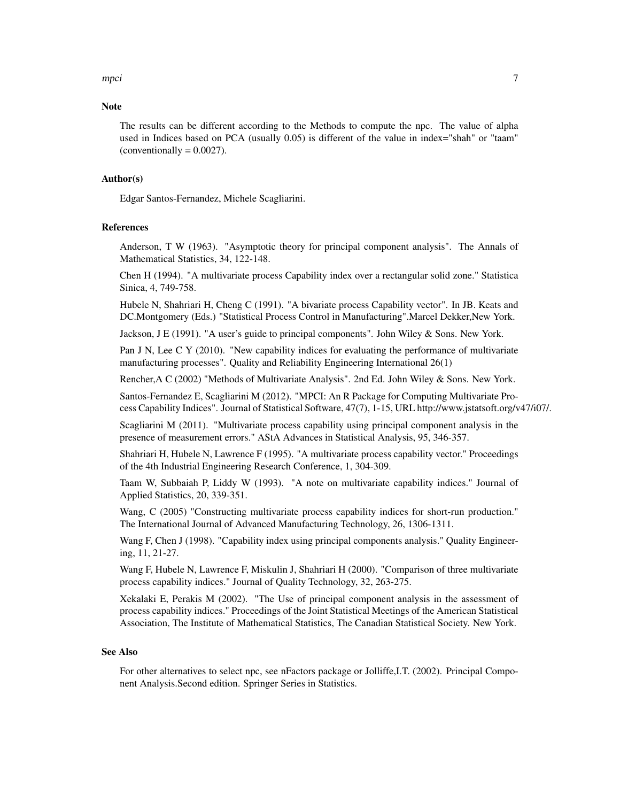mpci terminalnya ambao amin'ny fivondronan-kaominin'i Amerika ao amin'ny fivondronan-kaominin'i Amerika ao ami

#### **Note**

The results can be different according to the Methods to compute the npc. The value of alpha used in Indices based on PCA (usually 0.05) is different of the value in index="shah" or "taam"  $(conventionally = 0.0027).$ 

#### Author(s)

Edgar Santos-Fernandez, Michele Scagliarini.

#### References

Anderson, T W (1963). "Asymptotic theory for principal component analysis". The Annals of Mathematical Statistics, 34, 122-148.

Chen H (1994). "A multivariate process Capability index over a rectangular solid zone." Statistica Sinica, 4, 749-758.

Hubele N, Shahriari H, Cheng C (1991). "A bivariate process Capability vector". In JB. Keats and DC.Montgomery (Eds.) "Statistical Process Control in Manufacturing".Marcel Dekker,New York.

Jackson, J E (1991). "A user's guide to principal components". John Wiley & Sons. New York.

Pan J N, Lee C Y (2010). "New capability indices for evaluating the performance of multivariate manufacturing processes". Quality and Reliability Engineering International 26(1)

Rencher,A C (2002) "Methods of Multivariate Analysis". 2nd Ed. John Wiley & Sons. New York.

Santos-Fernandez E, Scagliarini M (2012). "MPCI: An R Package for Computing Multivariate Process Capability Indices". Journal of Statistical Software, 47(7), 1-15, URL http://www.jstatsoft.org/v47/i07/.

Scagliarini M (2011). "Multivariate process capability using principal component analysis in the presence of measurement errors." AStA Advances in Statistical Analysis, 95, 346-357.

Shahriari H, Hubele N, Lawrence F (1995). "A multivariate process capability vector." Proceedings of the 4th Industrial Engineering Research Conference, 1, 304-309.

Taam W, Subbaiah P, Liddy W (1993). "A note on multivariate capability indices." Journal of Applied Statistics, 20, 339-351.

Wang, C (2005) "Constructing multivariate process capability indices for short-run production." The International Journal of Advanced Manufacturing Technology, 26, 1306-1311.

Wang F, Chen J (1998). "Capability index using principal components analysis." Quality Engineering, 11, 21-27.

Wang F, Hubele N, Lawrence F, Miskulin J, Shahriari H (2000). "Comparison of three multivariate process capability indices." Journal of Quality Technology, 32, 263-275.

Xekalaki E, Perakis M (2002). "The Use of principal component analysis in the assessment of process capability indices." Proceedings of the Joint Statistical Meetings of the American Statistical Association, The Institute of Mathematical Statistics, The Canadian Statistical Society. New York.

#### See Also

For other alternatives to select npc, see nFactors package or Jolliffe,I.T. (2002). Principal Component Analysis.Second edition. Springer Series in Statistics.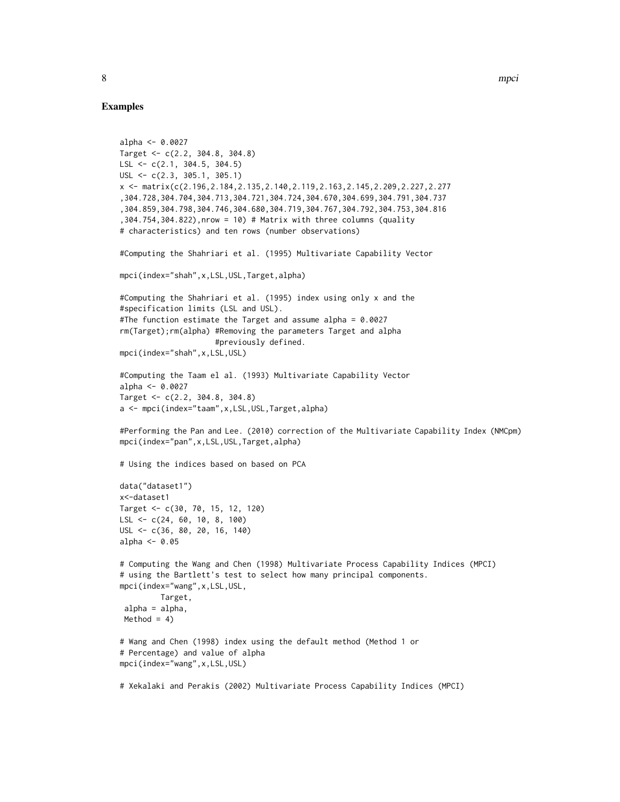#### Examples

```
alpha <- 0.0027
Target <- c(2.2, 304.8, 304.8)
LSL \leq c(2.1, 304.5, 304.5)
USL <- c(2.3, 305.1, 305.1)
x <- matrix(c(2.196,2.184,2.135,2.140,2.119,2.163,2.145,2.209,2.227,2.277
,304.728,304.704,304.713,304.721,304.724,304.670,304.699,304.791,304.737
,304.859,304.798,304.746,304.680,304.719,304.767,304.792,304.753,304.816
,304.754,304.822),nrow = 10) # Matrix with three columns (quality
# characteristics) and ten rows (number observations)
#Computing the Shahriari et al. (1995) Multivariate Capability Vector
mpci(index="shah",x,LSL,USL,Target,alpha)
#Computing the Shahriari et al. (1995) index using only x and the
#specification limits (LSL and USL).
#The function estimate the Target and assume alpha = 0.0027
rm(Target);rm(alpha) #Removing the parameters Target and alpha
                     #previously defined.
mpci(index="shah",x,LSL,USL)
#Computing the Taam el al. (1993) Multivariate Capability Vector
alpha <- 0.0027
Target <- c(2.2, 304.8, 304.8)
a <- mpci(index="taam",x,LSL,USL,Target,alpha)
#Performing the Pan and Lee. (2010) correction of the Multivariate Capability Index (NMCpm)
mpci(index="pan",x,LSL,USL,Target,alpha)
# Using the indices based on based on PCA
data("dataset1")
x<-dataset1
Target <- c(30, 70, 15, 12, 120)
LSL <- c(24, 60, 10, 8, 100)
USL <- c(36, 80, 20, 16, 140)
alpha <-0.05# Computing the Wang and Chen (1998) Multivariate Process Capability Indices (MPCI)
# using the Bartlett's test to select how many principal components.
mpci(index="wang",x,LSL,USL,
         Target,
 alpha = alpha,
 Method = 4)
# Wang and Chen (1998) index using the default method (Method 1 or
# Percentage) and value of alpha
mpci(index="wang",x,LSL,USL)
# Xekalaki and Perakis (2002) Multivariate Process Capability Indices (MPCI)
```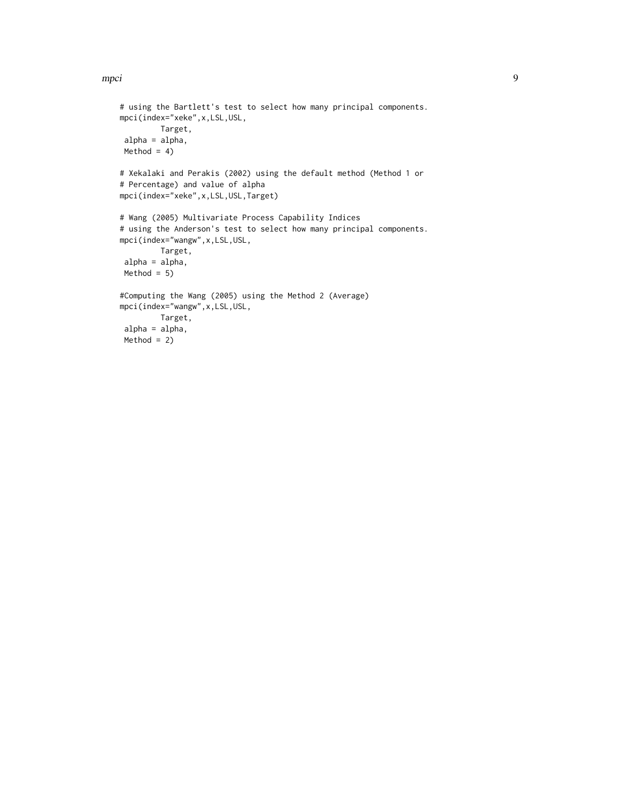#### mpci termine a statistica de la serie de la serie de la serie de la serie de la serie de la serie de la serie

```
# using the Bartlett's test to select how many principal components.
mpci(index="xeke",x,LSL,USL,
        Target,
alpha = alpha,
Method = 4)
# Xekalaki and Perakis (2002) using the default method (Method 1 or
# Percentage) and value of alpha
mpci(index="xeke",x,LSL,USL,Target)
# Wang (2005) Multivariate Process Capability Indices
# using the Anderson's test to select how many principal components.
mpci(index="wangw",x,LSL,USL,
        Target,
 alpha = alpha,
Method = 5#Computing the Wang (2005) using the Method 2 (Average)
mpci(index="wangw",x,LSL,USL,
        Target,
 alpha = alpha,
 Method = 2)
```